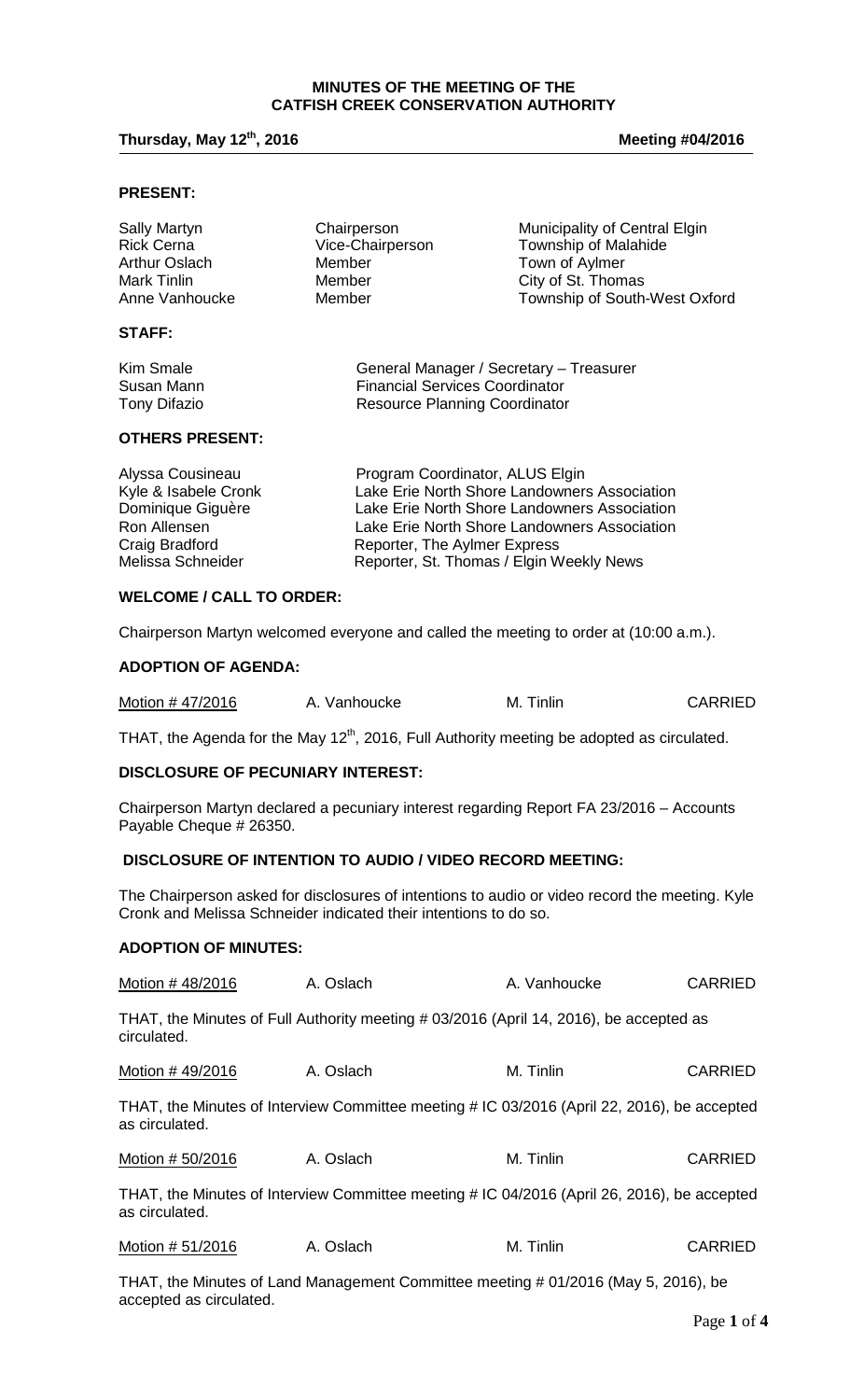#### **MINUTES OF THE MEETING OF THE CATFISH CREEK CONSERVATION AUTHORITY**

# **Thursday, May 12th, 2016 Meeting #04/2016**

#### **PRESENT:**

| Sally Martyn      | Chairperson      | Municipality of Central Elgin |
|-------------------|------------------|-------------------------------|
| <b>Rick Cerna</b> | Vice-Chairperson | <b>Township of Malahide</b>   |
| Arthur Oslach     | Member           | Town of Aylmer                |
| Mark Tinlin       | Member           | City of St. Thomas            |
| Anne Vanhoucke    | Member           | Township of South-West Oxford |
| <b>STAFF:</b>     |                  |                               |

| Kim Smale    | General Manager / Secretary - Treasurer |
|--------------|-----------------------------------------|
| Susan Mann   | <b>Financial Services Coordinator</b>   |
| Tony Difazio | <b>Resource Planning Coordinator</b>    |

#### **OTHERS PRESENT:**

| Alyssa Cousineau     | Program Coordinator, ALUS Elgin              |
|----------------------|----------------------------------------------|
| Kyle & Isabele Cronk | Lake Erie North Shore Landowners Association |
| Dominique Giguère    | Lake Erie North Shore Landowners Association |
| Ron Allensen         | Lake Erie North Shore Landowners Association |
| Craig Bradford       | Reporter, The Aylmer Express                 |
| Melissa Schneider    | Reporter, St. Thomas / Elgin Weekly News     |

# **WELCOME / CALL TO ORDER:**

Chairperson Martyn welcomed everyone and called the meeting to order at (10:00 a.m.).

#### **ADOPTION OF AGENDA:**

| Motion #47/2016 | A. Vanhoucke | M. Tinlin | <b>CARRIED</b> |
|-----------------|--------------|-----------|----------------|
|-----------------|--------------|-----------|----------------|

THAT, the Agenda for the May 12<sup>th</sup>, 2016, Full Authority meeting be adopted as circulated.

### **DISCLOSURE OF PECUNIARY INTEREST:**

Chairperson Martyn declared a pecuniary interest regarding Report FA 23/2016 – Accounts Payable Cheque # 26350.

### **DISCLOSURE OF INTENTION TO AUDIO / VIDEO RECORD MEETING:**

The Chairperson asked for disclosures of intentions to audio or video record the meeting. Kyle Cronk and Melissa Schneider indicated their intentions to do so.

#### **ADOPTION OF MINUTES:**

| Motion #48/2016  | A. Oslach | A. Vanhoucke                                                                                | <b>CARRIED</b> |
|------------------|-----------|---------------------------------------------------------------------------------------------|----------------|
| circulated.      |           | THAT, the Minutes of Full Authority meeting # 03/2016 (April 14, 2016), be accepted as      |                |
| Motion #49/2016  | A. Oslach | M. Tinlin                                                                                   | <b>CARRIED</b> |
| as circulated.   |           | THAT, the Minutes of Interview Committee meeting # IC 03/2016 (April 22, 2016), be accepted |                |
| Motion # 50/2016 | A. Oslach | M. Tinlin                                                                                   | <b>CARRIED</b> |
| as circulated.   |           | THAT, the Minutes of Interview Committee meeting # IC 04/2016 (April 26, 2016), be accepted |                |
| Motion # 51/2016 | A. Oslach | M. Tinlin                                                                                   | <b>CARRIED</b> |

THAT, the Minutes of Land Management Committee meeting # 01/2016 (May 5, 2016), be accepted as circulated.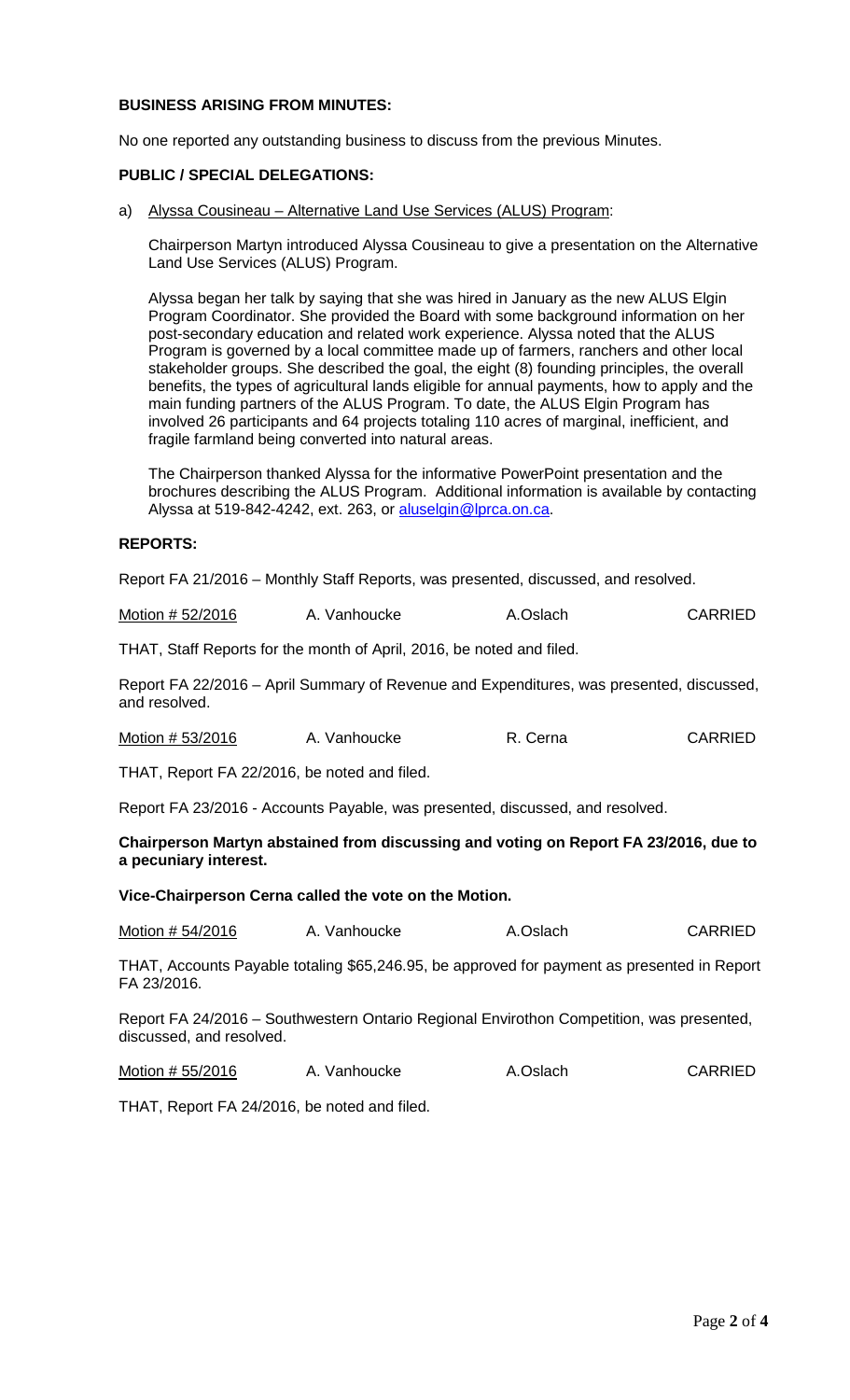### **BUSINESS ARISING FROM MINUTES:**

No one reported any outstanding business to discuss from the previous Minutes.

#### **PUBLIC / SPECIAL DELEGATIONS:**

a) Alyssa Cousineau – Alternative Land Use Services (ALUS) Program:

Chairperson Martyn introduced Alyssa Cousineau to give a presentation on the Alternative Land Use Services (ALUS) Program.

Alyssa began her talk by saying that she was hired in January as the new ALUS Elgin Program Coordinator. She provided the Board with some background information on her post-secondary education and related work experience. Alyssa noted that the ALUS Program is governed by a local committee made up of farmers, ranchers and other local stakeholder groups. She described the goal, the eight (8) founding principles, the overall benefits, the types of agricultural lands eligible for annual payments, how to apply and the main funding partners of the ALUS Program. To date, the ALUS Elgin Program has involved 26 participants and 64 projects totaling 110 acres of marginal, inefficient, and fragile farmland being converted into natural areas.

The Chairperson thanked Alyssa for the informative PowerPoint presentation and the brochures describing the ALUS Program. Additional information is available by contacting Alyssa at 519-842-4242, ext. 263, or [aluselgin@lprca.on.ca.](mailto:aluselgin@lprca.on.ca)

#### **REPORTS:**

Report FA 21/2016 – Monthly Staff Reports, was presented, discussed, and resolved.

Motion # 52/2016 A. Vanhoucke A. Oslach CARRIED

THAT, Staff Reports for the month of April, 2016, be noted and filed.

Report FA 22/2016 – April Summary of Revenue and Expenditures, was presented, discussed, and resolved.

Motion # 53/2016 A. Vanhoucke R. Cerna CARRIED

THAT, Report FA 22/2016, be noted and filed.

Report FA 23/2016 - Accounts Payable, was presented, discussed, and resolved.

**Chairperson Martyn abstained from discussing and voting on Report FA 23/2016, due to a pecuniary interest.** 

**Vice-Chairperson Cerna called the vote on the Motion.**

Motion # 54/2016 A. Vanhoucke A.Oslach CARRIED

THAT, Accounts Payable totaling \$65,246.95, be approved for payment as presented in Report FA 23/2016.

Report FA 24/2016 – Southwestern Ontario Regional Envirothon Competition, was presented, discussed, and resolved.

Motion # 55/2016 A. Vanhoucke A. Oslach CARRIED

THAT, Report FA 24/2016, be noted and filed.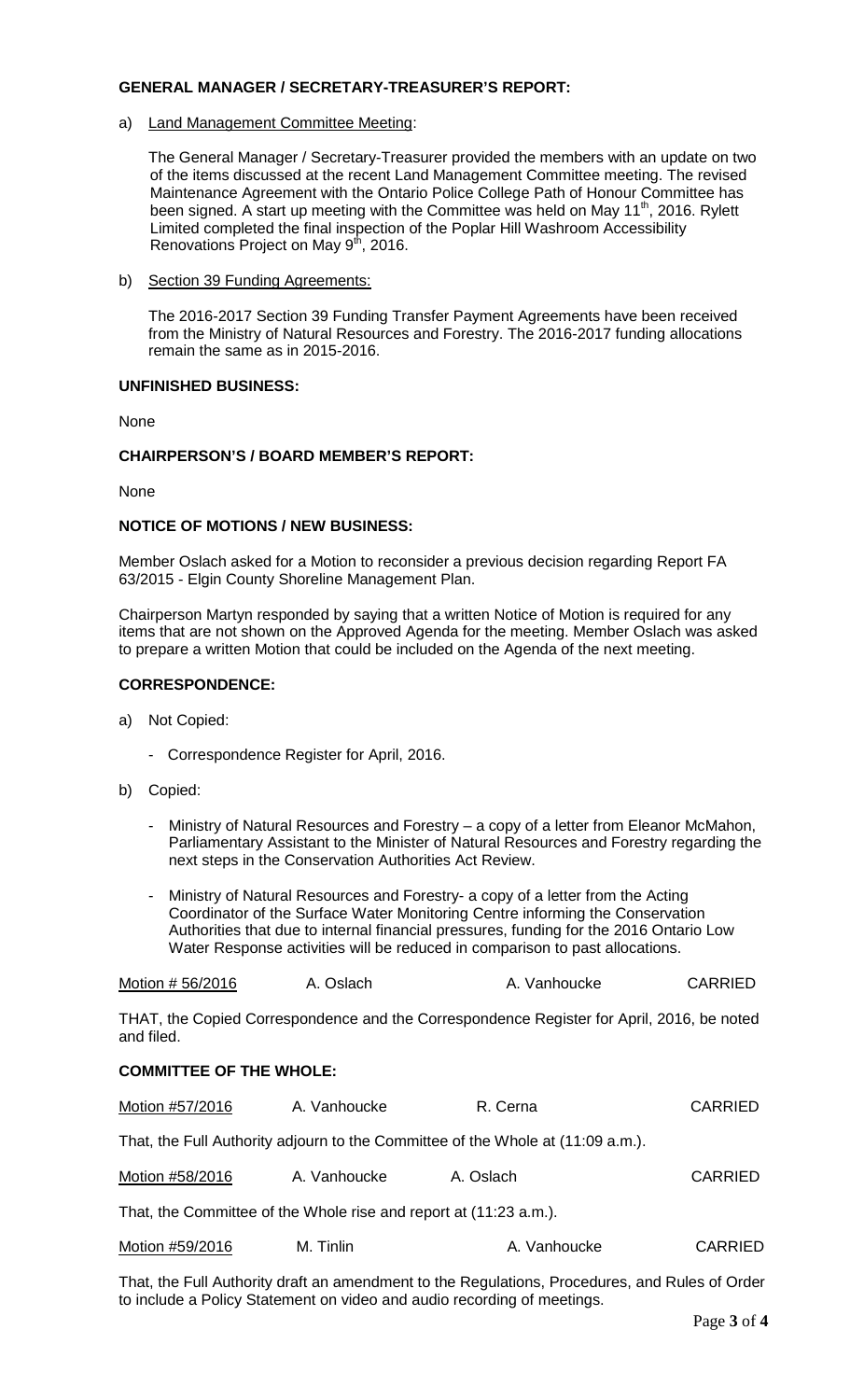#### **GENERAL MANAGER / SECRETARY-TREASURER'S REPORT:**

a) Land Management Committee Meeting:

 The General Manager / Secretary-Treasurer provided the members with an update on two of the items discussed at the recent Land Management Committee meeting. The revised Maintenance Agreement with the Ontario Police College Path of Honour Committee has been signed. A start up meeting with the Committee was held on May  $11<sup>th</sup>$ , 2016. Rylett Limited completed the final inspection of the Poplar Hill Washroom Accessibility Renovations Project on May  $9<sup>th</sup>$ , 2016.

b) Section 39 Funding Agreements:

The 2016-2017 Section 39 Funding Transfer Payment Agreements have been received from the Ministry of Natural Resources and Forestry. The 2016-2017 funding allocations remain the same as in 2015-2016.

## **UNFINISHED BUSINESS:**

None

## **CHAIRPERSON'S / BOARD MEMBER'S REPORT:**

None

#### **NOTICE OF MOTIONS / NEW BUSINESS:**

Member Oslach asked for a Motion to reconsider a previous decision regarding Report FA 63/2015 - Elgin County Shoreline Management Plan.

Chairperson Martyn responded by saying that a written Notice of Motion is required for any items that are not shown on the Approved Agenda for the meeting. Member Oslach was asked to prepare a written Motion that could be included on the Agenda of the next meeting.

#### **CORRESPONDENCE:**

- a) Not Copied:
	- Correspondence Register for April, 2016.
- b) Copied:
	- Ministry of Natural Resources and Forestry  $-$  a copy of a letter from Eleanor McMahon, Parliamentary Assistant to the Minister of Natural Resources and Forestry regarding the next steps in the Conservation Authorities Act Review.
	- Ministry of Natural Resources and Forestry- a copy of a letter from the Acting Coordinator of the Surface Water Monitoring Centre informing the Conservation Authorities that due to internal financial pressures, funding for the 2016 Ontario Low Water Response activities will be reduced in comparison to past allocations.

|  | Motion # 56/2016 | A. Oslach | A. Vanhoucke | <b>CARRIED</b> |
|--|------------------|-----------|--------------|----------------|
|--|------------------|-----------|--------------|----------------|

THAT, the Copied Correspondence and the Correspondence Register for April, 2016, be noted and filed.

#### **COMMITTEE OF THE WHOLE:**

| Motion #57/2016                                                   | A. Vanhoucke | R. Cerna                                                                        | <b>CARRIED</b> |  |  |
|-------------------------------------------------------------------|--------------|---------------------------------------------------------------------------------|----------------|--|--|
|                                                                   |              | That, the Full Authority adjourn to the Committee of the Whole at (11:09 a.m.). |                |  |  |
| Motion #58/2016                                                   | A. Vanhoucke | A. Oslach                                                                       | <b>CARRIED</b> |  |  |
| That, the Committee of the Whole rise and report at (11:23 a.m.). |              |                                                                                 |                |  |  |
| Motion #59/2016                                                   | M. Tinlin    | A. Vanhoucke                                                                    | <b>CARRIED</b> |  |  |

That, the Full Authority draft an amendment to the Regulations, Procedures, and Rules of Order to include a Policy Statement on video and audio recording of meetings.